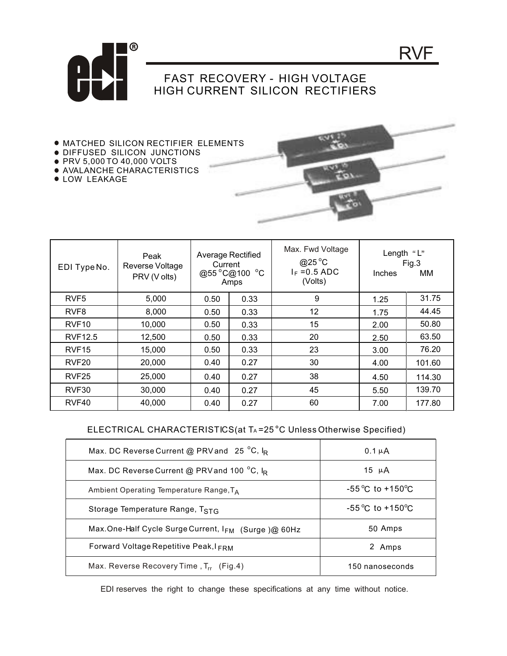

## FAST RECOVERY - HIGH VOLTAGE HIGH CURRENT SILICON RECTIFIERS

- MATCHED SILICON RECTIFIER ELEMENTS
- **DIFFUSED SILICON JUNCTIONS**
- PRV 5,000 TO 40,000 VOLTS
- AVALANCHE CHARACTERISTICS
- **.** LOW LEAKAGE



RVF

| EDI TypeNo.       | Peak<br>Reverse Voltage<br>PRV (V olts) | Average Rectified<br>Current<br>@55 °C@100 °C<br>Amps |      | Max. Fwd Voltage<br>@25 $^{\circ}$ C<br>$I_F = 0.5$ ADC<br>(Volts) | Length "L"<br>Inches | Fig.3<br>MМ |
|-------------------|-----------------------------------------|-------------------------------------------------------|------|--------------------------------------------------------------------|----------------------|-------------|
| RVF <sub>5</sub>  | 5,000                                   | 0.50                                                  | 0.33 | 9                                                                  | 1.25                 | 31.75       |
| RVF <sub>8</sub>  | 8,000                                   | 0.50                                                  | 0.33 | 12                                                                 | 1.75                 | 44.45       |
| RVF <sub>10</sub> | 10,000                                  | 0.50                                                  | 0.33 | 15                                                                 | 2.00                 | 50.80       |
| <b>RVF12.5</b>    | 12,500                                  | 0.50                                                  | 0.33 | 20                                                                 | 2.50                 | 63.50       |
| RVF <sub>15</sub> | 15,000                                  | 0.50                                                  | 0.33 | 23                                                                 | 3.00                 | 76.20       |
| RVF <sub>20</sub> | 20,000                                  | 0.40                                                  | 0.27 | 30                                                                 | 4.00                 | 101.60      |
| RVF <sub>25</sub> | 25,000                                  | 0.40                                                  | 0.27 | 38                                                                 | 4.50                 | 114.30      |
| RVF30             | 30,000                                  | 0.40                                                  | 0.27 | 45                                                                 | 5.50                 | 139.70      |
| RVF40             | 40,000                                  | 0.40                                                  | 0.27 | 60                                                                 | 7.00                 | 177.80      |

## ELECTRICAL CHARACTERISTICS(at TA=25<sup>°</sup>C Unless Otherwise Specified)

| Max. DC Reverse Current @ PRV and 25 °C, IR         | $0.1 \mu A$                         |  |  |
|-----------------------------------------------------|-------------------------------------|--|--|
| Max. DC Reverse Current @ PRV and 100 °C, IR        | 15 $\mu$ A                          |  |  |
| Ambient Operating Temperature Range, $T_A$          | $-55^{\circ}$ C to $+150^{\circ}$ C |  |  |
| Storage Temperature Range, TSTG                     | $-55^{\circ}$ C to $+150^{\circ}$ C |  |  |
| Max.One-Half Cycle Surge Current, IFM (Surge)@ 60Hz | 50 Amps                             |  |  |
| Forward Voltage Repetitive Peak, IFRM               | 2 Amps                              |  |  |
| Max. Reverse Recovery Time, $T_{rr}$ (Fig.4)        | 150 nanoseconds                     |  |  |

EDI reserves the right to change these specifications at any time without notice.